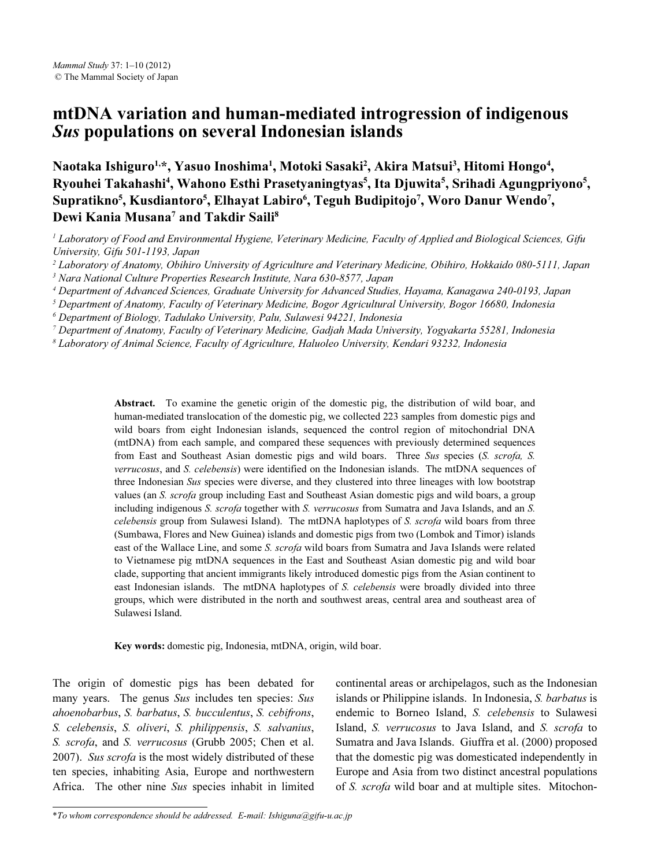# mtDNA variation and human-mediated introgression of indigenous Sus populations on several Indonesian islands

Naotaka Ishiguro<sup>1,</sup>\*, Yasuo Inoshima<sup>1</sup>, Motoki Sasaki<sup>2</sup>, Akira Matsui<sup>3</sup>, Hitomi Hongo<sup>4</sup>, Ryouhei Takahashi<sup>4</sup>, Wahono Esthi Prasetyaningtyas<sup>5</sup>, Ita Djuwita<sup>5</sup>, Srihadi Agungpriyono<sup>5</sup>, Supratikno<sup>5</sup>, Kusdiantoro<sup>5</sup>, Elhayat Labiro<sup>6</sup>, Teguh Budipitojo<sup>7</sup>, Woro Danur Wendo<sup>7</sup>, Dewi Kania Musana<sup>7</sup> and Takdir Saili<sup>8</sup>

 $^1$  Laboratory of Food and Environmental Hygiene, Veterinary Medicine, Faculty of Applied and Biological Sciences, Gifu University, Gifu 501-1193, Japan

<sup>2</sup> Laboratory of Anatomy, Obihiro University of Agriculture and Veterinary Medicine, Obihiro, Hokkaido 080-5111, Japan

<sup>3</sup> Nara National Culture Properties Research Institute, Nara 630-8577, Japan

4 Department of Advanced Sciences, Graduate University for Advanced Studies, Hayama, Kanagawa 240-0193, Japan

<sup>5</sup> Department of Anatomy, Faculty of Veterinary Medicine, Bogor Agricultural University, Bogor 16680, Indonesia

6 Department of Biology, Tadulako University, Palu, Sulawesi 94221, Indonesia

7 Department of Anatomy, Faculty of Veterinary Medicine, Gadjah Mada University, Yogyakarta 55281, Indonesia

8 Laboratory of Animal Science, Faculty of Agriculture, Haluoleo University, Kendari 93232, Indonesia

Abstract. To examine the genetic origin of the domestic pig, the distribution of wild boar, and human-mediated translocation of the domestic pig, we collected 223 samples from domestic pigs and wild boars from eight Indonesian islands, sequenced the control region of mitochondrial DNA (mtDNA) from each sample, and compared these sequences with previously determined sequences from East and Southeast Asian domestic pigs and wild boars. Three Sus species (S. scrofa, S. verrucosus, and S. celebensis) were identified on the Indonesian islands. The mtDNA sequences of three Indonesian Sus species were diverse, and they clustered into three lineages with low bootstrap values (an S. scrofa group including East and Southeast Asian domestic pigs and wild boars, a group including indigenous S. scrofa together with S. verrucosus from Sumatra and Java Islands, and an S. celebensis group from Sulawesi Island). The mtDNA haplotypes of S. scrofa wild boars from three (Sumbawa, Flores and New Guinea) islands and domestic pigs from two (Lombok and Timor) islands east of the Wallace Line, and some S. scrofa wild boars from Sumatra and Java Islands were related to Vietnamese pig mtDNA sequences in the East and Southeast Asian domestic pig and wild boar clade, supporting that ancient immigrants likely introduced domestic pigs from the Asian continent to east Indonesian islands. The mtDNA haplotypes of S. celebensis were broadly divided into three groups, which were distributed in the north and southwest areas, central area and southeast area of Sulawesi Island.

Key words: domestic pig, Indonesia, mtDNA, origin, wild boar.

The origin of domestic pigs has been debated for many years. The genus Sus includes ten species: Sus ahoenobarbus, S. barbatus, S. bucculentus, S. cebifrons, S. celebensis, S. oliveri, S. philippensis, S. salvanius, S. scrofa, and S. verrucosus (Grubb 2005; Chen et al. 2007). Sus scrofa is the most widely distributed of these ten species, inhabiting Asia, Europe and northwestern Africa. The other nine Sus species inhabit in limited continental areas or archipelagos, such as the Indonesian islands or Philippine islands. In Indonesia, S. barbatus is endemic to Borneo Island, S. celebensis to Sulawesi Island, S. verrucosus to Java Island, and S. scrofa to Sumatra and Java Islands. Giuffra et al. (2000) proposed that the domestic pig was domesticated independently in Europe and Asia from two distinct ancestral populations of S. scrofa wild boar and at multiple sites. Mitochon-

<sup>\*</sup>To whom correspondence should be addressed. E-mail: Ishiguna@gifu-u.ac.jp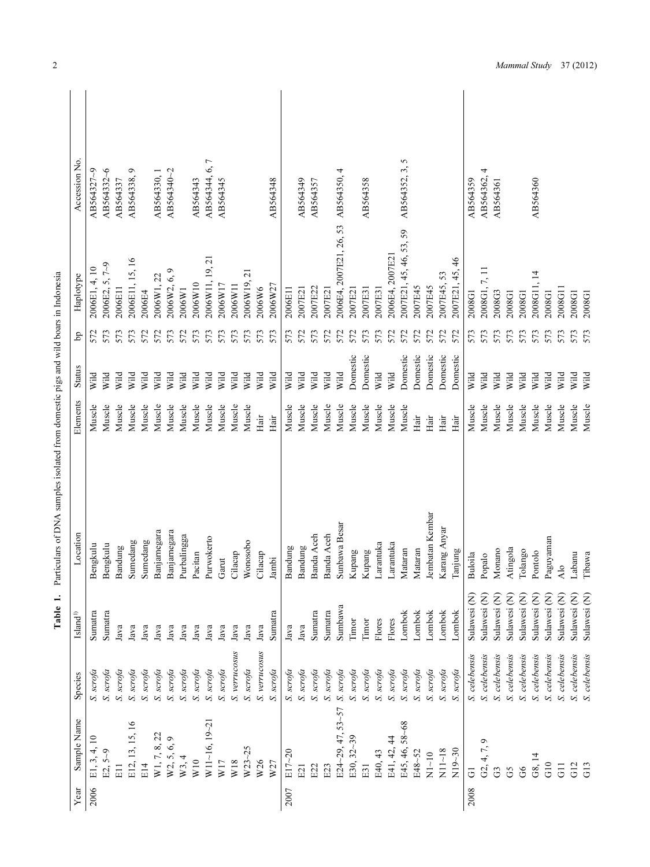|      |                   |               | Table 1.                | Particulars of DNA samples isolated from domestic pigs and wild boars in Indonesia |          |               |     |                            |                                   |
|------|-------------------|---------------|-------------------------|------------------------------------------------------------------------------------|----------|---------------|-----|----------------------------|-----------------------------------|
| Year | Sample Name       | Species       | $\mathbf{Island}^{1)}$  | Location                                                                           | Elements | <b>Status</b> | Ъp  | Haplotype                  | Accession No.                     |
| 2006 | E1, 3, 4, 10      | S. scrofa     | Sumatra                 | Bengkulu                                                                           | Muscle   | wiid          | 572 | 2006E1, 4, 10              | AB564327~9                        |
|      | $E2, 5-9$         | S. scrofa     | Sumatra                 | Bengkulu                                                                           | Muscle   | Wild          | 573 | 2006E2, 5, 7~9             | AB564332~6                        |
|      | E11               | S. scrofa     | Java                    | Bandung                                                                            | Muscle   | Wild          | 573 | 2006E11                    | AB564337                          |
|      | E12, 13, 15, 16   | S. scrofa     | Java                    | Sumedang                                                                           | Muscle   | Wild          | 573 | 2006E11, 15, 16            | Φ<br>AB564338,                    |
|      | E14               | S. scrofa     | Java                    | Sumedang                                                                           | Muscle   | Wild          | 572 | 2006E4                     |                                   |
|      | W1, 7, 8, 22      | S. scrofa     | Java                    | Banjarnegara                                                                       | Muscle   | Wild          | 572 | 2006W1, 22                 | AB564330, 1                       |
|      | W2, 5, 6, 9       | S. scrofa     | Java                    | sanjarnegara                                                                       | Muscle   | Wild          | 573 | $\circ$<br>2006W2, 6,      | AB564340~2                        |
|      | W3, 4             | S. $scrofa$   | Java                    | urbalingga                                                                         | Muscle   | Wild          | 572 | 2006W1                     |                                   |
|      | W10               | S. scrofa     | Java                    | acitan                                                                             | Muscle   | Wild          | 573 | 2006W10                    | AB564343                          |
|      | W11~16, 19~21     | S. scrofa     | Java                    | urwokerto                                                                          | Muscle   | Wild          | 573 | 2006W11, 19, 21            | $\overline{ }$<br>6,<br>AB564344, |
|      | W17               | S. scrofa     | Java                    | Jarut                                                                              | Muscle   | Wild          | 573 | 2006W17                    | AB564345                          |
|      | W18               | S. verrucosus | Java                    | Cilacap                                                                            | Muscle   | Wild          | 573 | 2006W11                    |                                   |
|      | $W23 - 25$        | S. scrofa     | Java                    | Vonosobo                                                                           | Muscle   | Wild          | 573 | $\overline{c}$<br>2006W19, |                                   |
|      | W26               | S. verrucosus | Java                    | Cilacap                                                                            | Hair     | Wild          | 573 | 2006W6                     |                                   |
|      | W27               | $S.$ $scrofa$ | Sumatra                 | ambi                                                                               | Hair     | Wild          | 573 | 2006W27                    | AB564348                          |
| 2007 | $E17 - 20$        | S. scrofa     | Java                    | <b>Sandung</b>                                                                     | Muscle   | Wild          | 573 | 2006E11                    |                                   |
|      | E21               | S. scrofa     | Java                    | sandung                                                                            | Muscle   | Wild          | 572 | 2007E21                    | AB564349                          |
|      | E22               | S. scrofa     | Sumatra                 | sanda Aceh                                                                         | Muscle   | Wild          | 573 | 2007E22                    | AB564357                          |
|      | E23               | $S.$ scrofa   | Sumatra                 | sanda Aceh                                                                         | Muscle   | Wild          | 572 | 2007E21                    |                                   |
|      | E24~29, 47, 53~57 | S. $scrofa$   | Sumbawa                 | unbawa Besar                                                                       | Muscle   | Wild          | 572 | 2006E4, 2007E21, 26, 53    | AB564350, 4                       |
|      | E30, 32~39        | $S.$ scrofa   | Timor                   | Supang                                                                             | Muscle   | Domestic      | 572 | 2007E2                     |                                   |
|      | E31               | S. scrofa     | Timor                   | Supang                                                                             | Muscle   | Domestic      | 573 | 2007E31                    | AB564358                          |
|      | E40, 43           | S. scrofa     | Flores                  | arantuka                                                                           | Muscle   | Wild          | 573 | 2007E31                    |                                   |
|      | E41, 42, 44       | S. scrofa     | Flores                  | arantuka                                                                           | Muscle   | Wild          | 572 | 2006E4, 2007E21            |                                   |
|      | E45, 46, 58~68    | S. scrofa     | Lombok                  | <b>A</b> ataran                                                                    | Muscle   | Domestic      | 572 | 2007E21, 45, 46, 53, 59    | 5<br>AB564352, 3,                 |
|      | E48~52            | S. scrofa     | Lombok                  | <b>Aataran</b>                                                                     | Hair     | Domestic      | 572 | 2007E45                    |                                   |
|      | $N1 - 10$         | S. scrofa     | <b>ombok</b>            | embatan Kembar                                                                     | Hair     | Domestic      | 572 | 2007E45                    |                                   |
|      | $N11 - 18$        | S. scrofa     | Lombok                  | Carang Anyar                                                                       | Hair     | Domestic      | 572 | .53<br>2007E45,            |                                   |
|      | $N19 - 30$        | S. scrofa     | Lombok                  | lanjung                                                                            | Hair     | Domestic      | 572 | 2007E21, 45, 46            |                                   |
| 2008 | $\overline{G}$    | S. celebensis | Sulawesi (N)            | Buloila                                                                            | Muscle   | Wild          | 573 | 2008G1                     | AB564359                          |
|      | G2, 4, 7, 9       | S. celebensis | Sulawesi (N)            | Popalo                                                                             | Muscle   | Wild          | 573 | 7. II<br>2008G1.           | 4<br>AB564362,                    |
|      | G3                | S. celebensis | Sulawesi (N)            | <i>A</i> onano                                                                     | Muscle   | Wild          | 573 | 2008G3                     | AB564361                          |
|      | G5                | S. celebensis | Sulawesi (N)            | Atingola                                                                           | Muscle   | Wild          | 573 | 2008G1                     |                                   |
|      | 66                | S. celebensis | Sulawesi (N)            | Colango                                                                            | Muscle   | Wild          | 573 | 2008G1                     |                                   |
|      | G8, 14            | S. celebensis | Sulawesi (N)            | Pontolo                                                                            | Muscle   | Wild          | 573 | $\overline{4}$<br>2008G11  | AB564360                          |
|      | G10               | S. celebensis | Sulawesi (N)            | meunshige                                                                          | Muscle   | Wild          | 573 | 2008G1                     |                                   |
|      | $\overline{G}$    | S. celebensis | Sulawesi (N)            | $\frac{1}{2}$                                                                      | Muscle   | Wild          | 573 | 2008G11                    |                                   |
|      | G12               | S. celebensis | Sulawesi <sub>(N)</sub> | abanu                                                                              | Muscle   | Wild          | 573 | 2008G1                     |                                   |
|      | G13               | S. celebensis | Sulawesi <sub>(N)</sub> | Thawa                                                                              | Muscle   | Wild          | 573 | 2008G1                     |                                   |

| in the contract of the contract of the contract of the contract of the contract of the contract of the contract of the contract of the contract of the contract of the contract of the contract of the contract of the contrac |  |
|--------------------------------------------------------------------------------------------------------------------------------------------------------------------------------------------------------------------------------|--|
| l                                                                                                                                                                                                                              |  |
|                                                                                                                                                                                                                                |  |
|                                                                                                                                                                                                                                |  |
|                                                                                                                                                                                                                                |  |
|                                                                                                                                                                                                                                |  |
| ;<br>;<br>;                                                                                                                                                                                                                    |  |
|                                                                                                                                                                                                                                |  |
| ֖֖֖֖֖֖֧֧֪֪ׅ֪֪֪֪֪֪֪֪֪ׅ֧֚֚֚֚֚֚֚֚֚֚֚֚֚֚֚֚֚֚֚֚֚֚֚֚֚֚֚֚֚֬֕֓֕֓֝֝֓֞֓֞                                                                                                                                                                 |  |
|                                                                                                                                                                                                                                |  |
|                                                                                                                                                                                                                                |  |
|                                                                                                                                                                                                                                |  |
|                                                                                                                                                                                                                                |  |
|                                                                                                                                                                                                                                |  |
|                                                                                                                                                                                                                                |  |
|                                                                                                                                                                                                                                |  |
|                                                                                                                                                                                                                                |  |
|                                                                                                                                                                                                                                |  |
|                                                                                                                                                                                                                                |  |
|                                                                                                                                                                                                                                |  |
|                                                                                                                                                                                                                                |  |
|                                                                                                                                                                                                                                |  |
| i                                                                                                                                                                                                                              |  |
| j                                                                                                                                                                                                                              |  |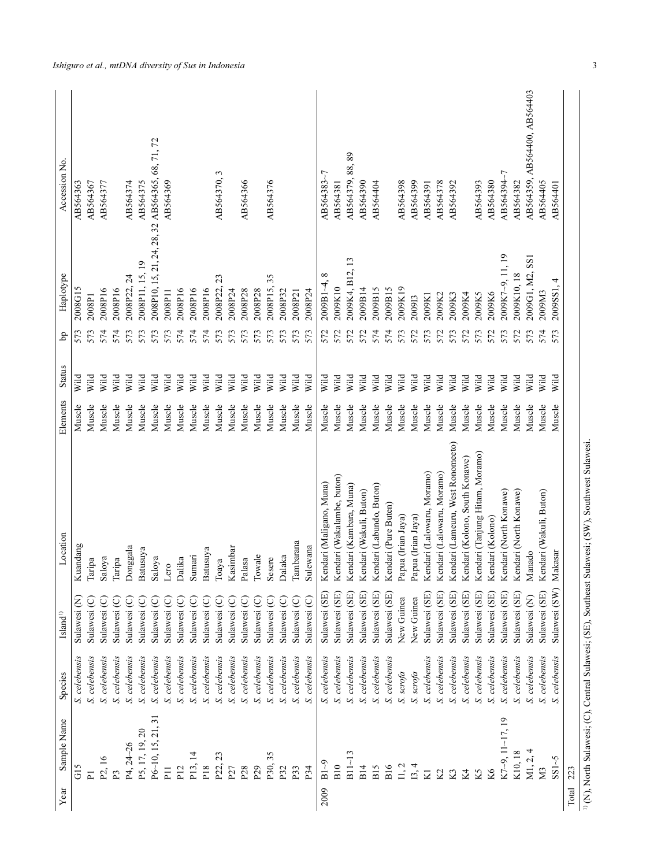| Sample Name<br>Year   | Species          | $\mathbf{Island}^{1)}$  | Location                          | Elements | <b>Status</b> | Ъp  | Haplotype                   | Accession No.                |
|-----------------------|------------------|-------------------------|-----------------------------------|----------|---------------|-----|-----------------------------|------------------------------|
| GIS                   | S. celebensis    | Sulawesi <sub>(N)</sub> | Kuandang                          | Muscle   | Wild          | 573 | 2008G15                     | AB564363                     |
| $\overline{P}$        | S. celebensis    | Sulawesi (C)            | Taripa                            | Muscle   | Wild          | 573 | 2008P1                      | AB564367                     |
| P <sub>2</sub> , 16   | S. celebensis    | Sulawesi (C)            | Saloya                            | Muscle   | Wild          | 574 | 2008P16                     | AB564377                     |
| P <sub>3</sub>        | S. celebensis    | Sulawesi (C)            | Taripa                            | Muscle   | Wild          | 574 | 2008P16                     |                              |
| P4, 24~26             | S. celebensis    | Sulawesi (C)            | Donggala                          | Muscle   | Wild          | 573 | 2008P22, 24                 | AB564374                     |
| P5, 17, 19, 20        | S. celebensis    | Sulawesi (C)            | Batusuya                          | Muscle   | Wild          | 573 | 2008P11, 15, 19             | AB564375                     |
| P6~10, 15, 21, 31     | S. celebensis    | Sulawesi (C)            | Saloya                            | Muscle   | Vild          | 573 | 2008P10, 15, 21, 24, 28, 32 | AB564365, 68, 71, 72         |
| P <sub>11</sub>       | S. celebensis    | Sulawesi (C)            | Lero                              | Muscle   | Wild          | 573 | 2008P11                     | AB564369                     |
| P <sub>12</sub>       | S. celebensis    | Sulawesi (C)            | Dalika                            | Muscle   | Wild          | 574 | 2008P16                     |                              |
| P13, 14               | S. celebensis    | Sulawesi (C)            | Sumari                            | Muscle   | Wild          | 574 | 2008P16                     |                              |
| P18                   | S. celebensis    | Sulawesi (C)            | Batusuya                          | Muscle   | Wild          | 574 | 2008P16                     |                              |
| P22, 23               | S. celebensis    | Sulawesi (C)            | Тоауа                             | Muscle   | Wild          | 573 | 23<br>2008P22,              | AB564370, 3                  |
| P27                   | S. celebensis    | Sulawesi (C)            | Kasimbar                          | Muscle   | Wild          | 573 | 2008P24                     |                              |
| P <sub>28</sub>       | S. celebensis    | Sulawesi (C)            | Palasa                            | Muscle   | Wild          | 573 | 2008P28                     | AB564366                     |
| P <sub>29</sub>       | S. celebensis    | Sulawesi (C)            | Towale                            | Muscle   | Wild          | 573 | 2008P28                     |                              |
| P30, 35               | S. celebensis    | Sulawesi (C)            | Sesere                            | Muscle   | Wild          | 573 | 2008P15,35                  | AB564376                     |
| P32                   | S. celebensis    | Sulawesi (C)            | Dalaka                            | Muscle   | Wild          | 573 | 2008P32                     |                              |
| P33                   | S. celebensis    | Sulawesi (C)            | Tambarana                         | Muscle   | Wild          | 573 | 2008P21                     |                              |
| P34                   | celebensis<br>S. | Sulawesi (C)            | Sulewana                          | Muscle   | Wild          | 573 | 2008P24                     |                              |
| $B1-9$<br>2009        | S. celebensis    | Sulawesi (SE)           | Kendari (Maligano, Muna)          | Muscle   | Wild          | 572 | $^{\circ}$<br>$2009B1 - 4$  | AB564383~7                   |
| B10                   | S. celebensis    | Sulawesi (SE)           | Kendari (Wakalambe, buton)        | Muscle   | Wild          | 572 | 2009K10                     | AB564381                     |
| B11~13                | S. celebensis    | Sulawesi (SE)           | Kendari (Kambara, Muna)           | Muscle   | Wild          | 572 | 2009K4, B12, 13             | AB564379, 88, 89             |
| B14                   | S. celebensis    | Sulawesi (SE)           | Kendari (Wakuli, Buton)           | Muscle   | Wild          | 572 | 2009B14                     | AB564390                     |
| <b>B15</b>            | S. celebensis    | Sulawesi (SE)           | Kendari (Labundo, Buton)          | Muscle   | Vild          | 574 | 2009B15                     | AB564404                     |
| B16                   | S. celebensis    | Sulawesi (SE)           | Kendari (Pure Buten)              | Muscle   | Wild          | 574 | 2009B15                     |                              |
| 11, 2                 | S. scrofa        | New Guinea              | Papua (Irian Jaya)                | Muscle   | Wild          | 573 | 2009K19                     | AB564398                     |
| 13, 4                 | S. scrofa        | New Guinea              | Papua (Irian Jaya)                | Muscle   | Wild          | 572 | 200913                      | AB564399                     |
| KI                    | S. celebensis    | Sulawesi (SE)           | Kendari (Lalowaru, Moramo)        | Muscle   | Wild          | 573 | 2009K1                      | AB564391                     |
| 22                    | S. celebensis    | Sulawesi (SE)           | Kendari (Lalowaru, Moramo)        | Muscle   | Wild          | 572 | 2009K2                      | AB564378                     |
| K <sub>3</sub>        | S. celebensis    | Sulawesi (SE)           | Kendari (Lameuru, West Ronomeeto) | Muscle   | Wild          | 573 | 2009K3                      | AB564392                     |
| Κ4                    | S. celebensis    | Sulawesi (SE)           | Kendari (Kolono, South Konawe)    | Muscle   | Wild          | 572 | 2009K4                      |                              |
| K5                    | S. celebensis    | Sulawesi (SE)           | Kendari (Tanjung Hitam, Moramo)   | Muscle   | Wild          | 573 | 2009K5                      | AB564393                     |
|                       | S. celebensis    | Sulawesi (SE)           | Kendari (Kolono)                  | Muscle   | Wild          | 572 | 2009K6                      | AB564380                     |
| $K7-9$ , $11-17$ , 19 | S. celebensis    | Sulawesi (SE)           | Kendari (North Konawe)            | Muscle   | Wild          | 573 | 2009K7~9, 11, 19            | AB564394~7                   |
| K10,18                | S. celebensis    | Sulawesi (SE)           | Kendari (North Konawe)            | Muscle   | Wild          | 572 | 2009K10, 18                 | AB564382                     |
| M1, 2, 4              | S. celebensis    | Sulawesi <sub>(N)</sub> | Manado                            | Muscle   | Wild          | 573 | 2009G1, M2, SS1             | AB564359, AB564400, AB564403 |
| X <sub>3</sub>        | S. celebensis    | Sulawesi (SE)           | Kendari (Wakuli, Buton)           | Muscle   | Wild          | 574 | 2009M3                      | AB564405                     |
| SS1~5                 | S. celebensis    | Sulawesi (SW)           | Makasar                           | Muscle   | Wild          | 573 | 2009SS1, 4                  | AB564401                     |
| 223<br>Total          |                  |                         |                                   |          |               |     |                             |                              |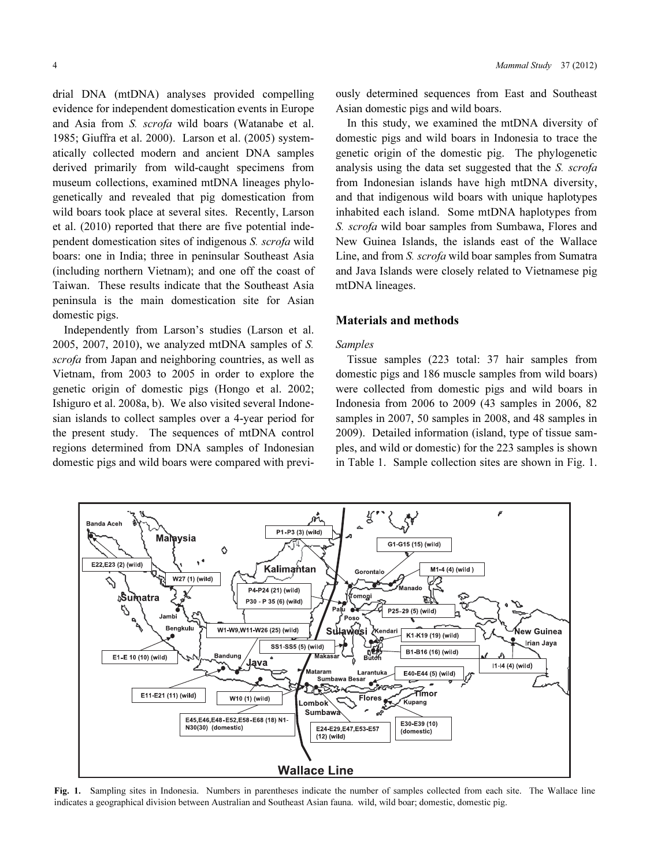drial DNA (mtDNA) analyses provided compelling evidence for independent domestication events in Europe and Asia from S. scrofa wild boars (Watanabe et al. 1985; Giuffra et al. 2000). Larson et al. (2005) systematically collected modern and ancient DNA samples derived primarily from wild-caught specimens from museum collections, examined mtDNA lineages phylogenetically and revealed that pig domestication from wild boars took place at several sites. Recently, Larson et al. (2010) reported that there are five potential independent domestication sites of indigenous S. scrofa wild boars: one in India; three in peninsular Southeast Asia (including northern Vietnam); and one off the coast of Taiwan. These results indicate that the Southeast Asia peninsula is the main domestication site for Asian domestic pigs.

Independently from Larson's studies (Larson et al. 2005, 2007, 2010), we analyzed mtDNA samples of S. scrofa from Japan and neighboring countries, as well as Vietnam, from 2003 to 2005 in order to explore the genetic origin of domestic pigs (Hongo et al. 2002; Ishiguro et al. 2008a, b). We also visited several Indonesian islands to collect samples over a 4-year period for the present study. The sequences of mtDNA control regions determined from DNA samples of Indonesian domestic pigs and wild boars were compared with previously determined sequences from East and Southeast Asian domestic pigs and wild boars.

In this study, we examined the mtDNA diversity of domestic pigs and wild boars in Indonesia to trace the genetic origin of the domestic pig. The phylogenetic analysis using the data set suggested that the S. scrofa from Indonesian islands have high mtDNA diversity, and that indigenous wild boars with unique haplotypes inhabited each island. Some mtDNA haplotypes from S. scrofa wild boar samples from Sumbawa, Flores and New Guinea Islands, the islands east of the Wallace Line, and from *S. scrofa* wild boar samples from Sumatra and Java Islands were closely related to Vietnamese pig mtDNA lineages.

## Materials and methods

### Samples

Tissue samples (223 total: 37 hair samples from domestic pigs and 186 muscle samples from wild boars) were collected from domestic pigs and wild boars in Indonesia from 2006 to 2009 (43 samples in 2006, 82 samples in 2007, 50 samples in 2008, and 48 samples in 2009). Detailed information (island, type of tissue samples, and wild or domestic) for the 223 samples is shown in Table 1. Sample collection sites are shown in Fig. 1.



Fig. 1. Sampling sites in Indonesia. Numbers in parentheses indicate the number of samples collected from each site. The Wallace line indicates a geographical division between Australian and Southeast Asian fauna. wild, wild boar; domestic, domestic pig.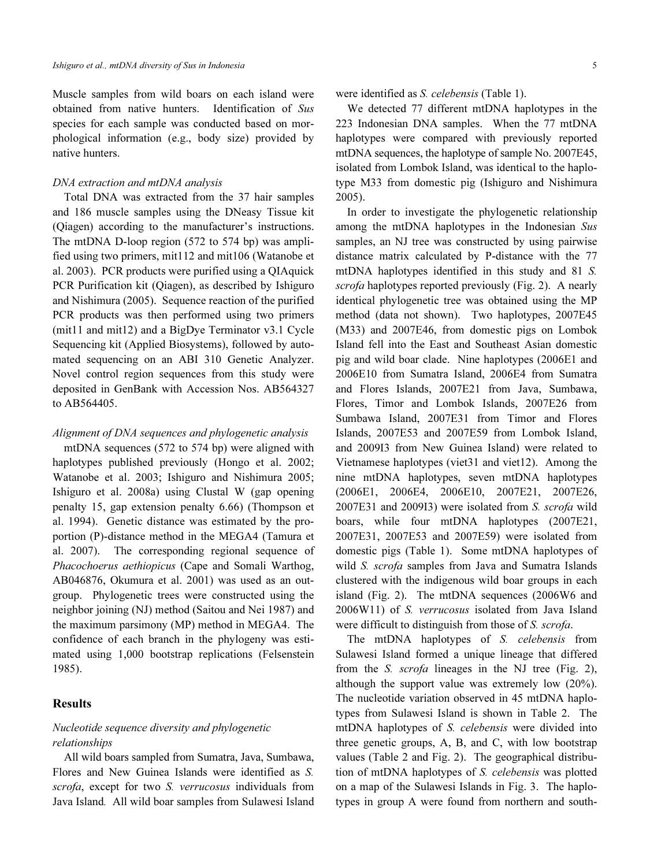Muscle samples from wild boars on each island were obtained from native hunters. Identification of Sus species for each sample was conducted based on morphological information (e.g., body size) provided by native hunters.

### DNA extraction and mtDNA analysis

Total DNA was extracted from the 37 hair samples and 186 muscle samples using the DNeasy Tissue kit (Qiagen) according to the manufacturer's instructions. The mtDNA D-loop region (572 to 574 bp) was amplified using two primers, mit112 and mit106 (Watanobe et al. 2003). PCR products were purified using a QIAquick PCR Purification kit (Qiagen), as described by Ishiguro and Nishimura (2005). Sequence reaction of the purified PCR products was then performed using two primers (mit11 and mit12) and a BigDye Terminator v3.1 Cycle Sequencing kit (Applied Biosystems), followed by automated sequencing on an ABI 310 Genetic Analyzer. Novel control region sequences from this study were deposited in GenBank with Accession Nos. AB564327 to AB564405.

#### Alignment of DNA sequences and phylogenetic analysis

mtDNA sequences (572 to 574 bp) were aligned with haplotypes published previously (Hongo et al. 2002; Watanobe et al. 2003; Ishiguro and Nishimura 2005; Ishiguro et al. 2008a) using Clustal W (gap opening penalty 15, gap extension penalty 6.66) (Thompson et al. 1994). Genetic distance was estimated by the proportion (P)-distance method in the MEGA4 (Tamura et al. 2007). The corresponding regional sequence of Phacochoerus aethiopicus (Cape and Somali Warthog, AB046876, Okumura et al. 2001) was used as an outgroup. Phylogenetic trees were constructed using the neighbor joining (NJ) method (Saitou and Nei 1987) and the maximum parsimony (MP) method in MEGA4. The confidence of each branch in the phylogeny was estimated using 1,000 bootstrap replications (Felsenstein 1985).

# Results

# Nucleotide sequence diversity and phylogenetic relationships

All wild boars sampled from Sumatra, Java, Sumbawa, Flores and New Guinea Islands were identified as S. scrofa, except for two S. verrucosus individuals from Java Island. All wild boar samples from Sulawesi Island

# were identified as S. celebensis (Table 1).

We detected 77 different mtDNA haplotypes in the 223 Indonesian DNA samples. When the 77 mtDNA haplotypes were compared with previously reported mtDNA sequences, the haplotype of sample No. 2007E45, isolated from Lombok Island, was identical to the haplotype M33 from domestic pig (Ishiguro and Nishimura 2005).

In order to investigate the phylogenetic relationship among the mtDNA haplotypes in the Indonesian Sus samples, an NJ tree was constructed by using pairwise distance matrix calculated by P-distance with the 77 mtDNA haplotypes identified in this study and 81 S. scrofa haplotypes reported previously (Fig. 2). A nearly identical phylogenetic tree was obtained using the MP method (data not shown). Two haplotypes, 2007E45 (M33) and 2007E46, from domestic pigs on Lombok Island fell into the East and Southeast Asian domestic pig and wild boar clade. Nine haplotypes (2006E1 and 2006E10 from Sumatra Island, 2006E4 from Sumatra and Flores Islands, 2007E21 from Java, Sumbawa, Flores, Timor and Lombok Islands, 2007E26 from Sumbawa Island, 2007E31 from Timor and Flores Islands, 2007E53 and 2007E59 from Lombok Island, and 2009I3 from New Guinea Island) were related to Vietnamese haplotypes (viet31 and viet12). Among the nine mtDNA haplotypes, seven mtDNA haplotypes (2006E1, 2006E4, 2006E10, 2007E21, 2007E26, 2007E31 and 2009I3) were isolated from S. scrofa wild boars, while four mtDNA haplotypes (2007E21, 2007E31, 2007E53 and 2007E59) were isolated from domestic pigs (Table 1). Some mtDNA haplotypes of wild S. scrofa samples from Java and Sumatra Islands clustered with the indigenous wild boar groups in each island (Fig. 2). The mtDNA sequences (2006W6 and 2006W11) of S. verrucosus isolated from Java Island were difficult to distinguish from those of S. scrofa.

The mtDNA haplotypes of S. celebensis from Sulawesi Island formed a unique lineage that differed from the S. scrofa lineages in the NJ tree (Fig. 2), although the support value was extremely low (20%). The nucleotide variation observed in 45 mtDNA haplotypes from Sulawesi Island is shown in Table 2. The mtDNA haplotypes of S. celebensis were divided into three genetic groups, A, B, and C, with low bootstrap values (Table 2 and Fig. 2). The geographical distribution of mtDNA haplotypes of S. celebensis was plotted on a map of the Sulawesi Islands in Fig. 3. The haplotypes in group A were found from northern and south-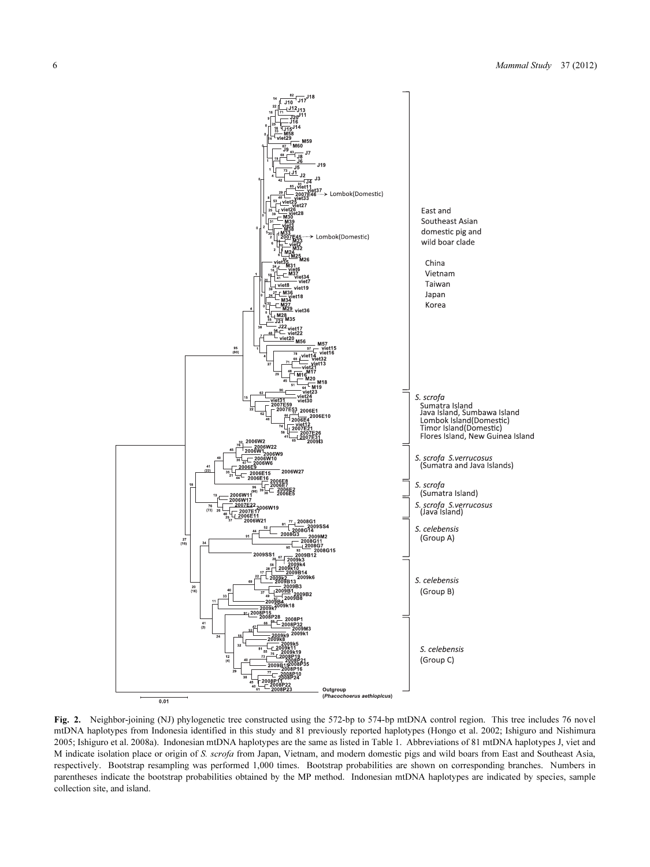

Fig. 2. Neighbor-joining (NJ) phylogenetic tree constructed using the 572-bp to 574-bp mtDNA control region. This tree includes 76 novel mtDNA haplotypes from Indonesia identified in this study and 81 previously reported haplotypes (Hongo et al. 2002; Ishiguro and Nishimura 2005; Ishiguro et al. 2008a). Indonesian mtDNA haplotypes are the same as listed in Table 1. Abbreviations of 81 mtDNA haplotypes J, viet and M indicate isolation place or origin of S. scrofa from Japan, Vietnam, and modern domestic pigs and wild boars from East and Southeast Asia, respectively. Bootstrap resampling was performed 1,000 times. Bootstrap probabilities are shown on corresponding branches. Numbers in parentheses indicate the bootstrap probabilities obtained by the MP method. Indonesian mtDNA haplotypes are indicated by species, sample collection site, and island.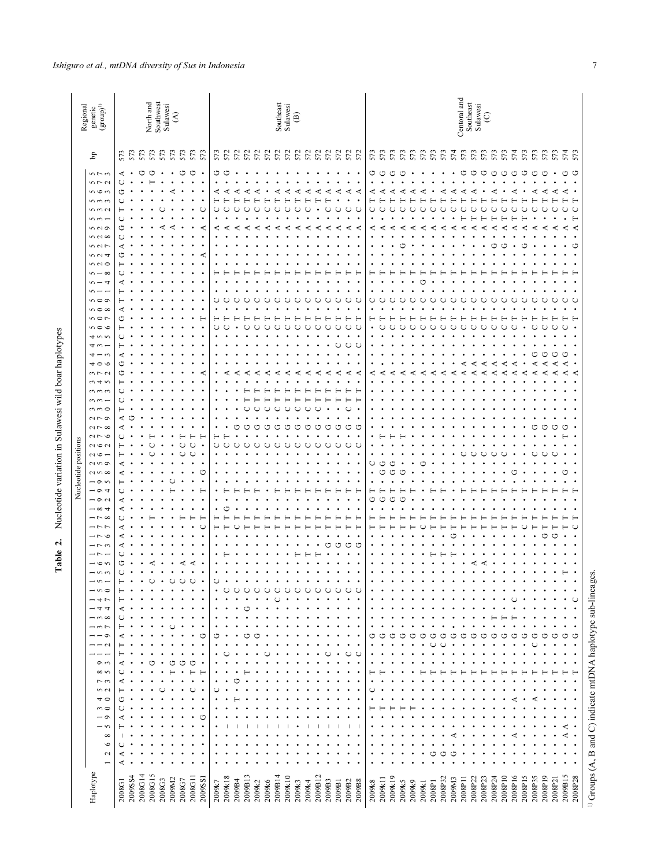|                      | $\begin{array}{c} \mbox{Regional} \\ \mbox{genetic} \\ \mbox{(group)}^{\mbox{II}} \end{array}$                                                                                                                                                                                                                                                                                                                                                                                                                                                                                                                                                                                                                                                                                                                                           |                                                                                                                   |         |              | North and<br>Southwest<br>Sulawesi |        |               | $\mathfrak{S}$ |               |                        |                      |                                                            |                              |                  |                        |     |             |        |              | Southeast<br>Sulawesi | $\widehat{\mathfrak{S}}$ |                        |                    |                         |             |                                    |                                        |                                      |                                    |                   |              |        |        |             |                   |             | Centoral and<br>Southeast<br>Sulawesi |              |                    | $\odot$      |                   |              |             |              |                              |                   |                                       |                                                                      |                                                                                                                                |                                                                        |  |
|----------------------|------------------------------------------------------------------------------------------------------------------------------------------------------------------------------------------------------------------------------------------------------------------------------------------------------------------------------------------------------------------------------------------------------------------------------------------------------------------------------------------------------------------------------------------------------------------------------------------------------------------------------------------------------------------------------------------------------------------------------------------------------------------------------------------------------------------------------------------|-------------------------------------------------------------------------------------------------------------------|---------|--------------|------------------------------------|--------|---------------|----------------|---------------|------------------------|----------------------|------------------------------------------------------------|------------------------------|------------------|------------------------|-----|-------------|--------|--------------|-----------------------|--------------------------|------------------------|--------------------|-------------------------|-------------|------------------------------------|----------------------------------------|--------------------------------------|------------------------------------|-------------------|--------------|--------|--------|-------------|-------------------|-------------|---------------------------------------|--------------|--------------------|--------------|-------------------|--------------|-------------|--------------|------------------------------|-------------------|---------------------------------------|----------------------------------------------------------------------|--------------------------------------------------------------------------------------------------------------------------------|------------------------------------------------------------------------|--|
|                      | $\mathbf{b}^{\mathrm{p}}$                                                                                                                                                                                                                                                                                                                                                                                                                                                                                                                                                                                                                                                                                                                                                                                                                |                                                                                                                   | 573     | 573          | 573                                | 573    | 573           |                | 573           | 573                    | 573                  |                                                            | 573                          | 572              | 572                    | 572 |             | 572    | 572          | 572                   | 572                      | 572                    | 572                | 572                     | 572         | 572                                | 572                                    | 573                                  |                                    | 573               | 573          | 573    | 573    | 573         | 573               | 574         | 573                                   | 573          | 573                | 573          | 573               | 574          |             | 573          | 573                          | 573               | 573                                   | 574                                                                  | 573                                                                                                                            |                                                                        |  |
| Nucleotide positions | $5 - 5$<br>$5 - 7$<br>56<br>$m \, m \, m$<br>5000<br>$n -$<br>500<br>$n \wedge \infty$<br>507<br>52<br>500<br>$n - \infty$<br>$\sim -4$<br>$n - -$<br>500<br>$n \circ \infty$<br>500<br>000<br>4.0.6<br>$4 \omega -$<br>$4 - \omega$<br>400<br>$m \nabla \Omega$<br>$m \neq n$<br>$\omega$ $\omega$<br>$\omega \omega -$<br>$m \Omega$<br>$\sim$ $\sim$ $\sim$<br>$\sim$ $\sim$<br>200<br>7001<br>$\sim$ $\sim$ $-$<br>$Q$ $Q$<br>N <sub>0</sub><br>$-$ 0.0<br>$ \circ$ $+$<br>$-90$<br>$-\infty$ +<br>$-5$<br>$-55$<br>$-50$<br>$-50$<br>$ -$<br>$-\circ$<br>$-50$<br>$\sim$<br>$-50$<br>$-45$<br>ーヰヰ<br>$  \infty$<br>$-55$<br>$- - 9$<br>$  \alpha$<br>$\sigma$<br>$\infty$<br>7<br>$\sim$ $\sim$<br>40<br>$\sim$<br>$\overline{\phantom{0}}$<br>$-5$<br>$\infty$<br>$\circ$<br>$\mathbf{C}$<br>$\overline{\phantom{0}}$<br>Haplotype | ⋖<br>◡<br>ث<br>n<br>٢٦<br>⋖<br>⋖<br>C)<br>⋖<br>⋖<br>⋖<br>⋖<br>⋖<br>ט<br>◡<br>⊢<br>⋖<br>⋖<br>◡<br>⋖<br>⋖<br>2008G1 | 2009SS4 | ↺<br>2008G14 | O<br>σ٦.<br>2008G15                | 2008G3 | כיז<br>2009M2 | 2008G7         | ט<br>⋖<br>כיז | O<br>⋖<br>C<br>2008G11 | $\bullet$<br>2009SS1 | O<br>⋖<br>Ō<br>⋖<br>t :<br>t :<br>$\bullet$<br>C<br>2009k7 | O<br>≺<br>٢٣<br>O<br>2009k18 | ⋖<br>◡<br>2009B4 | ⋖<br>r<br>O<br>2009B13 | C   | ⋖<br>2009k2 | 2009k6 | C<br>2009B14 | ◡<br>2009k10          | ٣<br>◡<br>2009k3         | ⋖<br>٢٦<br>U<br>2009k4 | ٢٦<br>O<br>2009B12 | ď.<br>٢٣<br>O<br>2009B3 | C<br>2009B1 | C)<br>٢٣<br>٢٣<br>$\cup$<br>2009B2 | ≺<br>C<br>⋖<br>С<br>O<br>C<br>$2009B8$ | G<br>≺<br>Õ<br>⋖<br>⋖<br>◡<br>Ġ<br>ゥ | O<br>≺<br>∢<br>٣٦<br>לי<br>2009k11 | O<br>≺<br>2009k19 | ٣٦<br>2009k5 | 2009k9 | 2009k1 | c<br>2008P1 | ⋖<br>↺<br>2008P32 | ⋖<br>2009M3 | ٢٦<br>ď.<br>2008P11                   | O<br>2008P22 | O<br>C)<br>2008P23 | O<br>2008P24 | O<br>⋖<br>2008P10 | O<br>2008P16 | ⋖<br>⋖<br>⋖ | O<br>2008P15 | O<br>⊄<br>٣٦<br>⋖<br>2008P35 | O<br>ט<br>2008P19 | $\bullet$<br>⋖<br>C)<br>٢٦<br>2008P21 | O<br>≺<br>$\cup$<br>⋖<br>ט<br>⋖<br>⋖<br>ט<br>r.<br>۲<br>↺<br>2009B15 | O<br>$\bullet$<br>⊢<br>$\cup$<br>Н<br>≺<br>$\bullet$<br>O<br>C<br>$\epsilon$<br>≺<br>⊢<br>$\circ$<br>$\bullet$<br>O<br>2008P28 | es.<br>$^{1)}$ Groups (A, B and C) indicate mtDNA haplotype sub-lineag |  |
|                      |                                                                                                                                                                                                                                                                                                                                                                                                                                                                                                                                                                                                                                                                                                                                                                                                                                          |                                                                                                                   |         |              |                                    |        |               |                |               |                        |                      |                                                            |                              |                  |                        |     |             |        |              |                       |                          |                        |                    |                         |             |                                    |                                        | 2009k8                               |                                    |                   |              |        |        |             |                   |             |                                       |              |                    |              |                   |              |             |              |                              |                   |                                       |                                                                      |                                                                                                                                |                                                                        |  |

# Table 2. Nucleotide variation in Sulawesi wild boar haplotypes Table 2. Nucleotide variation in Sulawesi wild boar haplotypes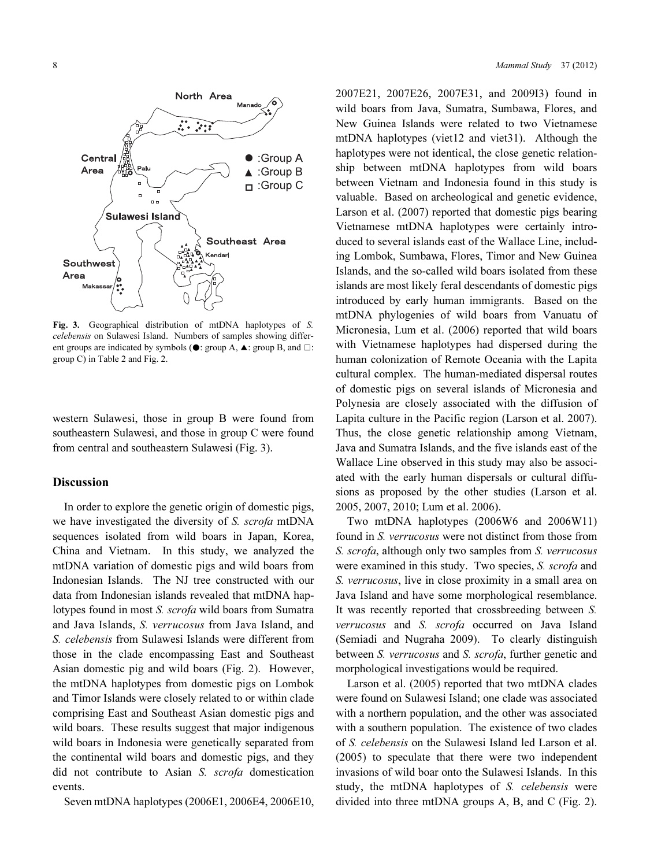

Fig. 3. Geographical distribution of mtDNA haplotypes of S. celebensis on Sulawesi Island. Numbers of samples showing different groups are indicated by symbols ( $\bullet$ : group A,  $\blacktriangle$ : group B, and  $\square$ : group C) in Table 2 and Fig. 2.

western Sulawesi, those in group B were found from southeastern Sulawesi, and those in group C were found from central and southeastern Sulawesi (Fig. 3).

# Discussion

In order to explore the genetic origin of domestic pigs, we have investigated the diversity of S. scrofa mtDNA sequences isolated from wild boars in Japan, Korea, China and Vietnam. In this study, we analyzed the mtDNA variation of domestic pigs and wild boars from Indonesian Islands. The NJ tree constructed with our data from Indonesian islands revealed that mtDNA haplotypes found in most S. scrofa wild boars from Sumatra and Java Islands, S. verrucosus from Java Island, and S. celebensis from Sulawesi Islands were different from those in the clade encompassing East and Southeast Asian domestic pig and wild boars (Fig. 2). However, the mtDNA haplotypes from domestic pigs on Lombok and Timor Islands were closely related to or within clade comprising East and Southeast Asian domestic pigs and wild boars. These results suggest that major indigenous wild boars in Indonesia were genetically separated from the continental wild boars and domestic pigs, and they did not contribute to Asian S. scrofa domestication events.

Seven mtDNA haplotypes (2006E1, 2006E4, 2006E10,

2007E21, 2007E26, 2007E31, and 2009I3) found in wild boars from Java, Sumatra, Sumbawa, Flores, and New Guinea Islands were related to two Vietnamese mtDNA haplotypes (viet12 and viet31). Although the haplotypes were not identical, the close genetic relationship between mtDNA haplotypes from wild boars between Vietnam and Indonesia found in this study is valuable. Based on archeological and genetic evidence, Larson et al. (2007) reported that domestic pigs bearing Vietnamese mtDNA haplotypes were certainly introduced to several islands east of the Wallace Line, including Lombok, Sumbawa, Flores, Timor and New Guinea Islands, and the so-called wild boars isolated from these islands are most likely feral descendants of domestic pigs introduced by early human immigrants. Based on the mtDNA phylogenies of wild boars from Vanuatu of Micronesia, Lum et al. (2006) reported that wild boars with Vietnamese haplotypes had dispersed during the human colonization of Remote Oceania with the Lapita cultural complex. The human-mediated dispersal routes of domestic pigs on several islands of Micronesia and Polynesia are closely associated with the diffusion of Lapita culture in the Pacific region (Larson et al. 2007). Thus, the close genetic relationship among Vietnam, Java and Sumatra Islands, and the five islands east of the Wallace Line observed in this study may also be associated with the early human dispersals or cultural diffusions as proposed by the other studies (Larson et al. 2005, 2007, 2010; Lum et al. 2006).

Two mtDNA haplotypes (2006W6 and 2006W11) found in S. verrucosus were not distinct from those from S. scrofa, although only two samples from S. verrucosus were examined in this study. Two species, S. scrofa and S. verrucosus, live in close proximity in a small area on Java Island and have some morphological resemblance. It was recently reported that crossbreeding between S. verrucosus and S. scrofa occurred on Java Island (Semiadi and Nugraha 2009). To clearly distinguish between *S. verrucosus* and *S. scrofa*, further genetic and morphological investigations would be required.

Larson et al. (2005) reported that two mtDNA clades were found on Sulawesi Island; one clade was associated with a northern population, and the other was associated with a southern population. The existence of two clades of S. celebensis on the Sulawesi Island led Larson et al. (2005) to speculate that there were two independent invasions of wild boar onto the Sulawesi Islands. In this study, the mtDNA haplotypes of S. celebensis were divided into three mtDNA groups A, B, and C (Fig. 2).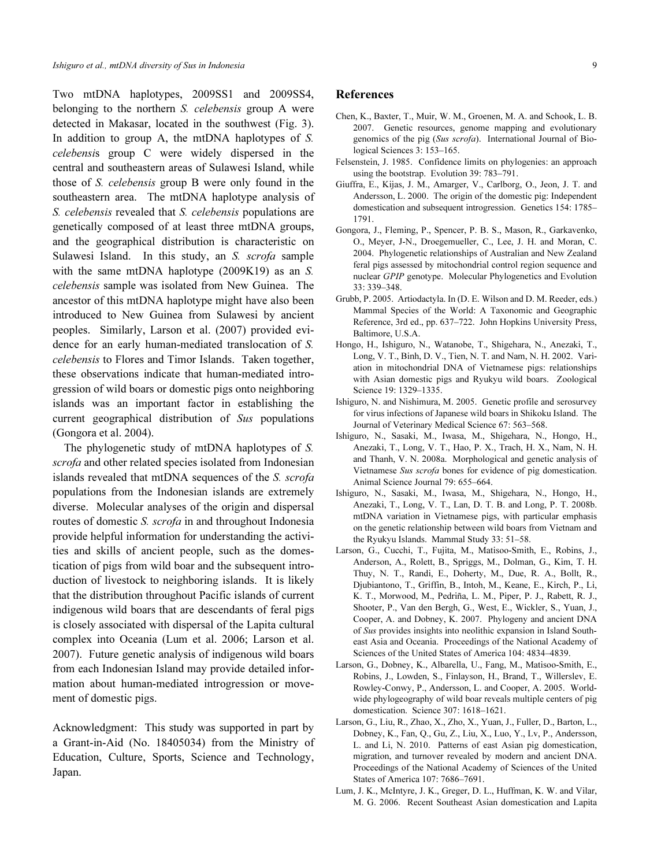Two mtDNA haplotypes, 2009SS1 and 2009SS4, belonging to the northern *S. celebensis* group A were detected in Makasar, located in the southwest (Fig. 3). In addition to group A, the mtDNA haplotypes of S. celebensis group C were widely dispersed in the central and southeastern areas of Sulawesi Island, while those of S. celebensis group B were only found in the southeastern area. The mtDNA haplotype analysis of S. celebensis revealed that S. celebensis populations are genetically composed of at least three mtDNA groups, and the geographical distribution is characteristic on Sulawesi Island. In this study, an S. scrofa sample with the same mtDNA haplotype (2009K19) as an S. celebensis sample was isolated from New Guinea. The ancestor of this mtDNA haplotype might have also been introduced to New Guinea from Sulawesi by ancient peoples. Similarly, Larson et al. (2007) provided evidence for an early human-mediated translocation of S. celebensis to Flores and Timor Islands. Taken together, these observations indicate that human-mediated introgression of wild boars or domestic pigs onto neighboring islands was an important factor in establishing the current geographical distribution of Sus populations (Gongora et al. 2004).

The phylogenetic study of mtDNA haplotypes of S. scrofa and other related species isolated from Indonesian islands revealed that mtDNA sequences of the S. scrofa populations from the Indonesian islands are extremely diverse. Molecular analyses of the origin and dispersal routes of domestic S. scrofa in and throughout Indonesia provide helpful information for understanding the activities and skills of ancient people, such as the domestication of pigs from wild boar and the subsequent introduction of livestock to neighboring islands. It is likely that the distribution throughout Pacific islands of current indigenous wild boars that are descendants of feral pigs is closely associated with dispersal of the Lapita cultural complex into Oceania (Lum et al. 2006; Larson et al. 2007). Future genetic analysis of indigenous wild boars from each Indonesian Island may provide detailed information about human-mediated introgression or movement of domestic pigs.

Acknowledgment: This study was supported in part by a Grant-in-Aid (No. 18405034) from the Ministry of Education, Culture, Sports, Science and Technology, Japan.

#### References

- Chen, K., Baxter, T., Muir, W. M., Groenen, M. A. and Schook, L. B. 2007. Genetic resources, genome mapping and evolutionary genomics of the pig (Sus scrofa). International Journal of Biological Sciences 3: 153–165.
- Felsenstein, J. 1985. Confidence limits on phylogenies: an approach using the bootstrap. Evolution 39: 783–791.
- Giuffra, E., Kijas, J. M., Amarger, V., Carlborg, O., Jeon, J. T. and Andersson, L. 2000. The origin of the domestic pig: Independent domestication and subsequent introgression. Genetics 154: 1785– 1791.
- Gongora, J., Fleming, P., Spencer, P. B. S., Mason, R., Garkavenko, O., Meyer, J-N., Droegemueller, C., Lee, J. H. and Moran, C. 2004. Phylogenetic relationships of Australian and New Zealand feral pigs assessed by mitochondrial control region sequence and nuclear GPIP genotype. Molecular Phylogenetics and Evolution 33: 339–348.
- Grubb, P. 2005. Artiodactyla. In (D. E. Wilson and D. M. Reeder, eds.) Mammal Species of the World: A Taxonomic and Geographic Reference, 3rd ed., pp. 637–722. John Hopkins University Press, Baltimore, U.S.A.
- Hongo, H., Ishiguro, N., Watanobe, T., Shigehara, N., Anezaki, T., Long, V. T., Binh, D. V., Tien, N. T. and Nam, N. H. 2002. Variation in mitochondrial DNA of Vietnamese pigs: relationships with Asian domestic pigs and Ryukyu wild boars. Zoological Science 19: 1329–1335.
- Ishiguro, N. and Nishimura, M. 2005. Genetic profile and serosurvey for virus infections of Japanese wild boars in Shikoku Island. The Journal of Veterinary Medical Science 67: 563–568.
- Ishiguro, N., Sasaki, M., Iwasa, M., Shigehara, N., Hongo, H., Anezaki, T., Long, V. T., Hao, P. X., Trach, H. X., Nam, N. H. and Thanh, V. N. 2008a. Morphological and genetic analysis of Vietnamese Sus scrofa bones for evidence of pig domestication. Animal Science Journal 79: 655–664.
- Ishiguro, N., Sasaki, M., Iwasa, M., Shigehara, N., Hongo, H., Anezaki, T., Long, V. T., Lan, D. T. B. and Long, P. T. 2008b. mtDNA variation in Vietnamese pigs, with particular emphasis on the genetic relationship between wild boars from Vietnam and the Ryukyu Islands. Mammal Study 33: 51–58.
- Larson, G., Cucchi, T., Fujita, M., Matisoo-Smith, E., Robins, J., Anderson, A., Rolett, B., Spriggs, M., Dolman, G., Kim, T. H. Thuy, N. T., Randi, E., Doherty, M., Due, R. A., Bollt, R., Djubiantono, T., Griffin, B., Intoh, M., Keane, E., Kirch, P., Li, K. T., Morwood, M., Pedriña, L. M., Piper, P. J., Rabett, R. J., Shooter, P., Van den Bergh, G., West, E., Wickler, S., Yuan, J., Cooper, A. and Dobney, K. 2007. Phylogeny and ancient DNA of Sus provides insights into neolithic expansion in Island Southeast Asia and Oceania. Proceedings of the National Academy of Sciences of the United States of America 104: 4834–4839.
- Larson, G., Dobney, K., Albarella, U., Fang, M., Matisoo-Smith, E., Robins, J., Lowden, S., Finlayson, H., Brand, T., Willerslev, E. Rowley-Conwy, P., Andersson, L. and Cooper, A. 2005. Worldwide phylogeography of wild boar reveals multiple centers of pig domestication. Science 307: 1618–1621.
- Larson, G., Liu, R., Zhao, X., Zho, X., Yuan, J., Fuller, D., Barton, L., Dobney, K., Fan, Q., Gu, Z., Liu, X., Luo, Y., Lv, P., Andersson, L. and Li, N. 2010. Patterns of east Asian pig domestication, migration, and turnover revealed by modern and ancient DNA. Proceedings of the National Academy of Sciences of the United States of America 107: 7686–7691.
- Lum, J. K., McIntyre, J. K., Greger, D. L., Huffman, K. W. and Vilar, M. G. 2006. Recent Southeast Asian domestication and Lapita